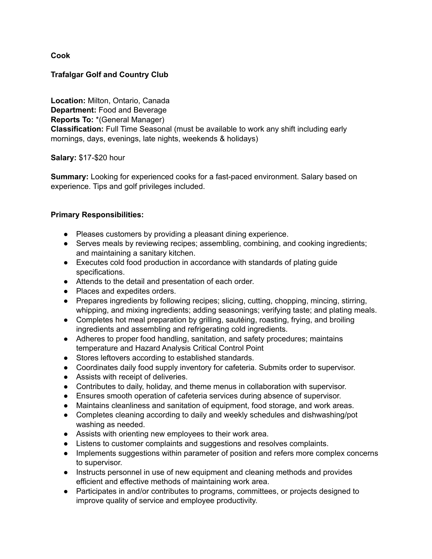**Cook**

## **Trafalgar Golf and Country Club**

**Location:** Milton, Ontario, Canada **Department:** Food and Beverage **Reports To:** \*(General Manager) **Classification:** Full Time Seasonal (must be available to work any shift including early mornings, days, evenings, late nights, weekends & holidays)

**Salary:** \$17-\$20 hour

**Summary:** Looking for experienced cooks for a fast-paced environment. Salary based on experience. Tips and golf privileges included.

## **Primary Responsibilities:**

- Pleases customers by providing a pleasant dining experience.
- Serves meals by reviewing recipes; assembling, combining, and cooking ingredients; and maintaining a sanitary kitchen.
- Executes cold food production in accordance with standards of plating guide specifications.
- Attends to the detail and presentation of each order.
- Places and expedites orders.
- Prepares ingredients by following recipes; slicing, cutting, chopping, mincing, stirring, whipping, and mixing ingredients; adding seasonings; verifying taste; and plating meals.
- Completes hot meal preparation by grilling, sautéing, roasting, frying, and broiling ingredients and assembling and refrigerating cold ingredients.
- Adheres to proper food handling, sanitation, and safety procedures; maintains temperature and Hazard Analysis Critical Control Point
- Stores leftovers according to established standards.
- Coordinates daily food supply inventory for cafeteria. Submits order to supervisor.
- Assists with receipt of deliveries.
- Contributes to daily, holiday, and theme menus in collaboration with supervisor.
- Ensures smooth operation of cafeteria services during absence of supervisor.
- Maintains cleanliness and sanitation of equipment, food storage, and work areas.
- Completes cleaning according to daily and weekly schedules and dishwashing/pot washing as needed.
- Assists with orienting new employees to their work area.
- Listens to customer complaints and suggestions and resolves complaints.
- Implements suggestions within parameter of position and refers more complex concerns to supervisor.
- Instructs personnel in use of new equipment and cleaning methods and provides efficient and effective methods of maintaining work area.
- Participates in and/or contributes to programs, committees, or projects designed to improve quality of service and employee productivity.